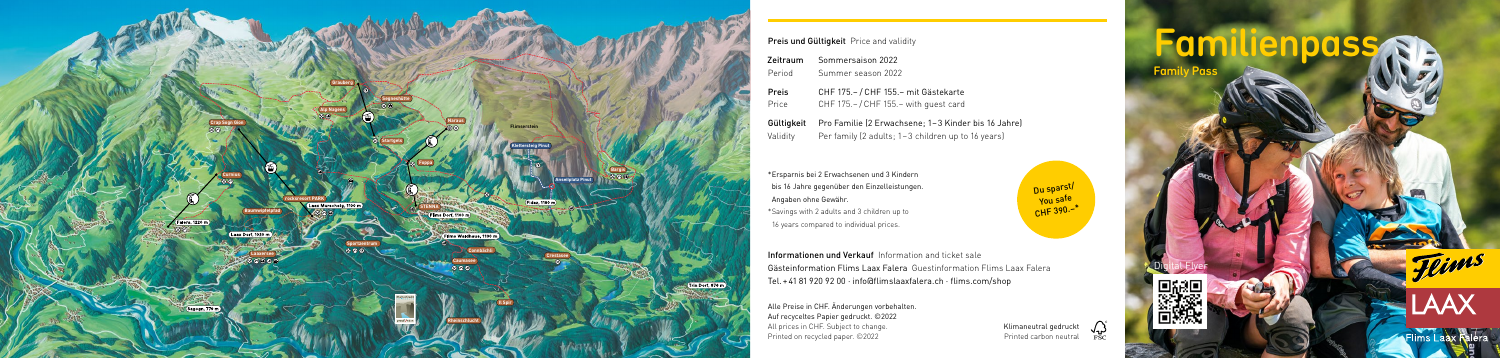Digital Flyer







# **Imilienpass Sta** Family Pass



| Zeitraum | Sommersaison 2022                                              |
|----------|----------------------------------------------------------------|
| Period   | Summer season 2022                                             |
| Preis    | CHF 175. - / CHF 155. - mit Gästekarte                         |
| Price    | CHF 175. - / CHF 155. - with quest card                        |
|          | Gültigkeit Pro Familie (2 Erwachsene; 1-3 Kinder bis 16 Jahre) |

Validity Per family (2 adults; 1–3 children up to 16 years)



# Preis und Gültigkeit Price and validity

Informationen und Verkauf Information and ticket sale Gästeinformation Flims Laax Falera Guestinformation Flims Laax Falera Tel.+41 81 920 92 00 · info@flimslaaxfalera.ch · flims.com/shop

Alle Preise in CHF. Änderungen vorbehalten. Auf recyceltes Papier gedruckt. ©2022 All prices in CHF. Subject to change. Printed on recycled paper. ©2022

Klimaneutral gedruckt Printed carbon neutral

\*Ersparnis bei 2 Erwachsenen und 3 Kindern bis 16 Jahre gegenüber den Einzelleistungen. Angaben ohne Gewähr. \*Savings with 2 adults and 3 children up to 16 years compared to individual prices.

Du sparst/ You safe  $CHF 390. –<sup>*</sup>$